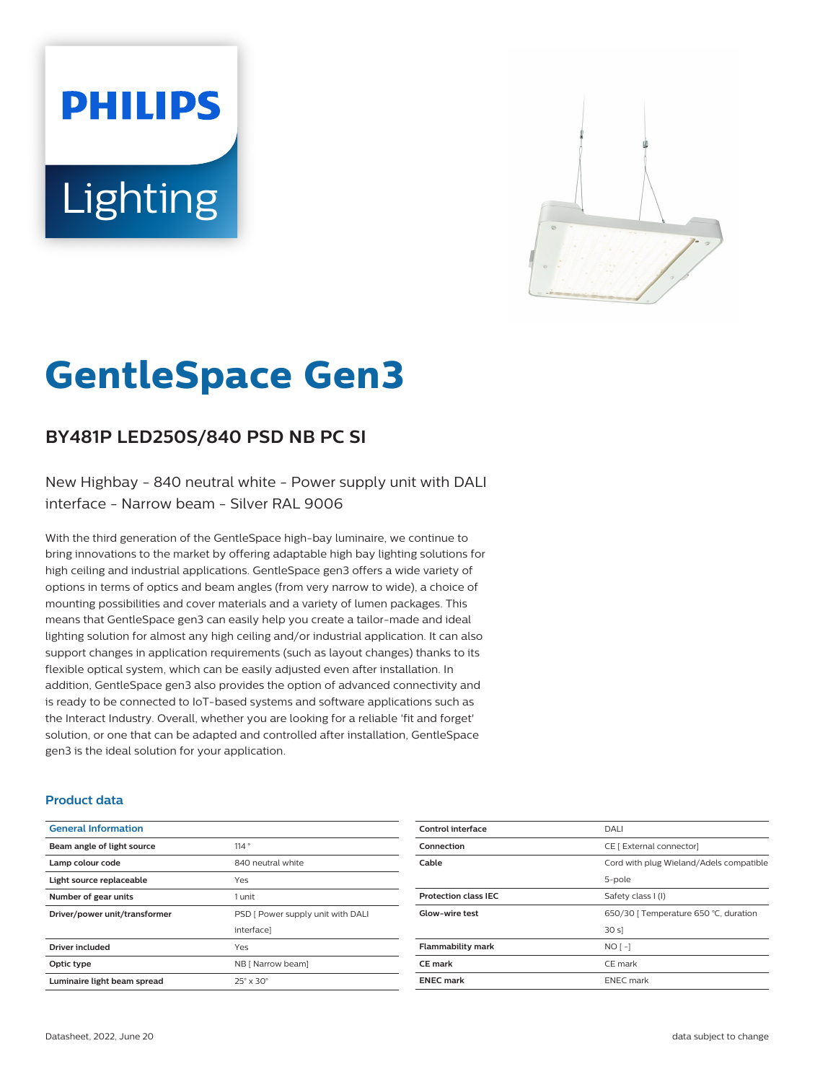# **PHILIPS Lighting**



# **GentleSpace Gen3**

# **BY481P LED250S/840 PSD NB PC SI**

New Highbay - 840 neutral white - Power supply unit with DALI interface - Narrow beam - Silver RAL 9006

With the third generation of the GentleSpace high-bay luminaire, we continue to bring innovations to the market by offering adaptable high bay lighting solutions for high ceiling and industrial applications. GentleSpace gen3 offers a wide variety of options in terms of optics and beam angles (from very narrow to wide), a choice of mounting possibilities and cover materials and a variety of lumen packages. This means that GentleSpace gen3 can easily help you create a tailor-made and ideal lighting solution for almost any high ceiling and/or industrial application. It can also support changes in application requirements (such as layout changes) thanks to its flexible optical system, which can be easily adjusted even after installation. In addition, GentleSpace gen3 also provides the option of advanced connectivity and is ready to be connected to IoT-based systems and software applications such as the Interact Industry. Overall, whether you are looking for a reliable 'fit and forget' solution, or one that can be adapted and controlled after installation, GentleSpace gen3 is the ideal solution for your application.

#### **Product data**

| <b>General Information</b>    |                                   |
|-------------------------------|-----------------------------------|
| Beam angle of light source    | 114°                              |
| Lamp colour code              | 840 neutral white                 |
| Light source replaceable      | Yes                               |
| Number of gear units          | 1 unit                            |
| Driver/power unit/transformer | PSD [ Power supply unit with DALI |
|                               | interfacel                        |
| <b>Driver included</b>        | Yes                               |
| Optic type                    | NB [ Narrow beam]                 |
| Luminaire light beam spread   | $25^\circ \times 30^\circ$        |

| DALI                                    |
|-----------------------------------------|
| CE [ External connector]                |
| Cord with plug Wieland/Adels compatible |
| 5-pole                                  |
| Safety class I (I)                      |
| 650/30   Temperature 650 °C, duration   |
| 30 s                                    |
| $NO$ [-]                                |
| CE mark                                 |
| <b>ENEC</b> mark                        |
|                                         |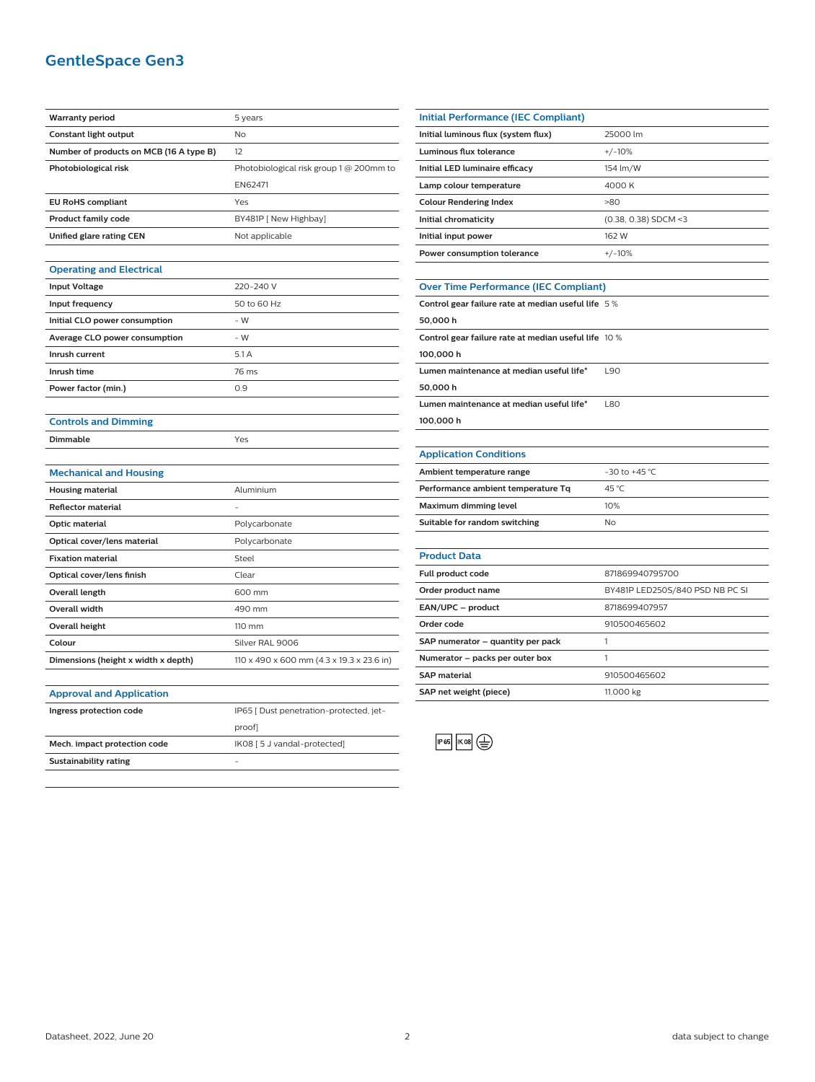## **GentleSpace Gen3**

| <b>Warranty period</b>                  | 5 years                                   |
|-----------------------------------------|-------------------------------------------|
| <b>Constant light output</b>            | No                                        |
| Number of products on MCB (16 A type B) | 12                                        |
| Photobiological risk                    | Photobiological risk group 1 @ 200mm to   |
|                                         | EN62471                                   |
| <b>EU RoHS compliant</b>                | Yes                                       |
| <b>Product family code</b>              | BY481P [ New Highbay]                     |
| Unified glare rating CEN                | Not applicable                            |
|                                         |                                           |
| <b>Operating and Electrical</b>         |                                           |
| <b>Input Voltage</b>                    | 220-240 V                                 |
| Input frequency                         | 50 to 60 Hz                               |
| Initial CLO power consumption           | - W                                       |
| Average CLO power consumption           | $-W$                                      |
| Inrush current                          | 5.1A                                      |
| Inrush time                             | 76 ms                                     |
| Power factor (min.)                     | 0.9                                       |
|                                         |                                           |
| <b>Controls and Dimming</b>             |                                           |
| Dimmable                                | Yes                                       |
|                                         |                                           |
| <b>Mechanical and Housing</b>           |                                           |
| <b>Housing material</b>                 | Aluminium                                 |
| Reflector material                      |                                           |
|                                         |                                           |
| Optic material                          | Polycarbonate                             |
| Optical cover/lens material             | Polycarbonate                             |
| <b>Fixation material</b>                | Steel                                     |
| Optical cover/lens finish               | Clear                                     |
| Overall length                          | 600 mm                                    |
| <b>Overall width</b>                    | 490 mm                                    |
| <b>Overall height</b>                   | 110 mm                                    |
| Colour                                  | Silver RAL 9006                           |
| Dimensions (height x width x depth)     | 110 x 490 x 600 mm (4.3 x 19.3 x 23.6 in) |
|                                         |                                           |
| <b>Approval and Application</b>         |                                           |
| Ingress protection code                 | IP65 [ Dust penetration-protected, jet-   |
|                                         | proof]                                    |
| Mech. impact protection code            | IK08 [5 J vandal-protected]               |

| <b>Initial Performance (IEC Compliant)</b> |                        |
|--------------------------------------------|------------------------|
| Initial luminous flux (system flux)        | 25000 lm               |
| Luminous flux tolerance                    | $+/-10%$               |
| Initial LED luminaire efficacy             | 154 lm/W               |
| Lamp colour temperature                    | 4000 K                 |
| <b>Colour Rendering Index</b>              | >80                    |
| Initial chromaticity                       | $(0.38, 0.38)$ SDCM <3 |
| Initial input power                        | 162 W                  |
| Power consumption tolerance                | $+/-10%$               |
|                                            |                        |

#### **Over Time Performance (IEC Compliant)**

| Control gear failure rate at median useful life 5 %  |            |
|------------------------------------------------------|------------|
| 50.000h                                              |            |
| Control gear failure rate at median useful life 10 % |            |
| 100.000 h                                            |            |
| Lumen maintenance at median useful life*             | L90        |
| 50.000h                                              |            |
| Lumen maintenance at median useful life*             | <b>L80</b> |
| 100.000 h                                            |            |
|                                                      |            |

 $\overline{\phantom{0}}$ 

#### **Application Conditions**

| Ambient temperature range          | $-30$ to $+45$ °C |
|------------------------------------|-------------------|
| Performance ambient temperature Tq | 45 °C             |
| Maximum dimming level              | 10%               |
| Suitable for random switching      | Nο                |
|                                    |                   |

| <b>Product Data</b>               |                                 |
|-----------------------------------|---------------------------------|
| <b>Full product code</b>          | 871869940795700                 |
| Order product name                | BY481P LED250S/840 PSD NB PC SI |
| EAN/UPC - product                 | 8718699407957                   |
| Order code                        | 910500465602                    |
| SAP numerator - quantity per pack |                                 |
| Numerator - packs per outer box   |                                 |
| <b>SAP</b> material               | 910500465602                    |
| SAP net weight (piece)            | 11.000 kg                       |
|                                   |                                 |